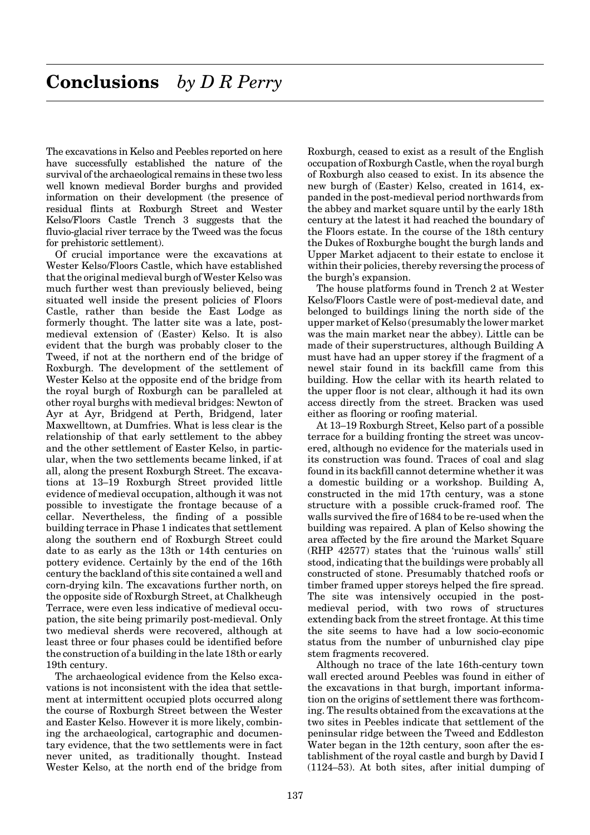The excavations in Kelso and Peebles reported on here have successfully established the nature of the survival of the archaeological remains in these two less well known medieval Border burghs and provided information on their development (the presence of residual flints at Roxburgh Street and Wester Kelso/Floors Castle Trench 3 suggests that the fluvio-glacial river terrace by the Tweed was the focus for prehistoric settlement).

Of crucial importance were the excavations at Wester Kelso/Floors Castle, which have established that the original medieval burgh of Wester Kelso was much further west than previously believed, being situated well inside the present policies of Floors Castle, rather than beside the East Lodge as formerly thought. The latter site was a late, postmedieval extension of (Easter) Kelso. It is also evident that the burgh was probably closer to the Tweed, if not at the northern end of the bridge of Roxburgh. The development of the settlement of Wester Kelso at the opposite end of the bridge from the royal burgh of Roxburgh can be paralleled at other royal burghs with medieval bridges: Newton of Ayr at Ayr, Bridgend at Perth, Bridgend, later Maxwelltown, at Dumfries. What is less clear is the relationship of that early settlement to the abbey and the other settlement of Easter Kelso, in particular, when the two settlements became linked, if at all, along the present Roxburgh Street. The excavations at 13–19 Roxburgh Street provided little evidence of medieval occupation, although it was not possible to investigate the frontage because of a cellar. Nevertheless, the finding of a possible building terrace in Phase 1 indicates that settlement along the southern end of Roxburgh Street could date to as early as the 13th or 14th centuries on pottery evidence. Certainly by the end of the 16th century the backland of this site contained a well and corn-drying kiln. The excavations further north, on the opposite side of Roxburgh Street, at Chalkheugh Terrace, were even less indicative of medieval occupation, the site being primarily post-medieval. Only two medieval sherds were recovered, although at least three or four phases could be identified before the construction of a building in the late 18th or early 19th century.

The archaeological evidence from the Kelso excavations is not inconsistent with the idea that settlement at intermittent occupied plots occurred along the course of Roxburgh Street between the Wester and Easter Kelso. However it is more likely, combining the archaeological, cartographic and documentary evidence, that the two settlements were in fact never united, as traditionally thought. Instead Wester Kelso, at the north end of the bridge from Roxburgh, ceased to exist as a result of the English occupation of Roxburgh Castle, when the royal burgh of Roxburgh also ceased to exist. In its absence the new burgh of (Easter) Kelso, created in 1614, expanded in the post-medieval period northwards from the abbey and market square until by the early 18th century at the latest it had reached the boundary of the Floors estate. In the course of the 18th century the Dukes of Roxburghe bought the burgh lands and Upper Market adjacent to their estate to enclose it within their policies, thereby reversing the process of the burgh's expansion.

The house platforms found in Trench 2 at Wester Kelso/Floors Castle were of post-medieval date, and belonged to buildings lining the north side of the upper market of Kelso (presumably the lower market was the main market near the abbey). Little can be made of their superstructures, although Building A must have had an upper storey if the fragment of a newel stair found in its backfill came from this building. How the cellar with its hearth related to the upper floor is not clear, although it had its own access directly from the street. Bracken was used either as flooring or roofing material.

At 13–19 Roxburgh Street, Kelso part of a possible terrace for a building fronting the street was uncovered, although no evidence for the materials used in its construction was found. Traces of coal and slag found in its backfill cannot determine whether it was a domestic building or a workshop. Building A, constructed in the mid 17th century, was a stone structure with a possible cruck-framed roof. The walls survived the fire of 1684 to be re-used when the building was repaired. A plan of Kelso showing the area affected by the fire around the Market Square (RHP 42577) states that the 'ruinous walls' still stood, indicating that the buildings were probably all constructed of stone. Presumably thatched roofs or timber framed upper storeys helped the fire spread. The site was intensively occupied in the postmedieval period, with two rows of structures extending back from the street frontage. At this time the site seems to have had a low socio-economic status from the number of unburnished clay pipe stem fragments recovered.

Although no trace of the late 16th-century town wall erected around Peebles was found in either of the excavations in that burgh, important information on the origins of settlement there was forthcoming. The results obtained from the excavations at the two sites in Peebles indicate that settlement of the peninsular ridge between the Tweed and Eddleston Water began in the 12th century, soon after the establishment of the royal castle and burgh by David I (1124–53). At both sites, after initial dumping of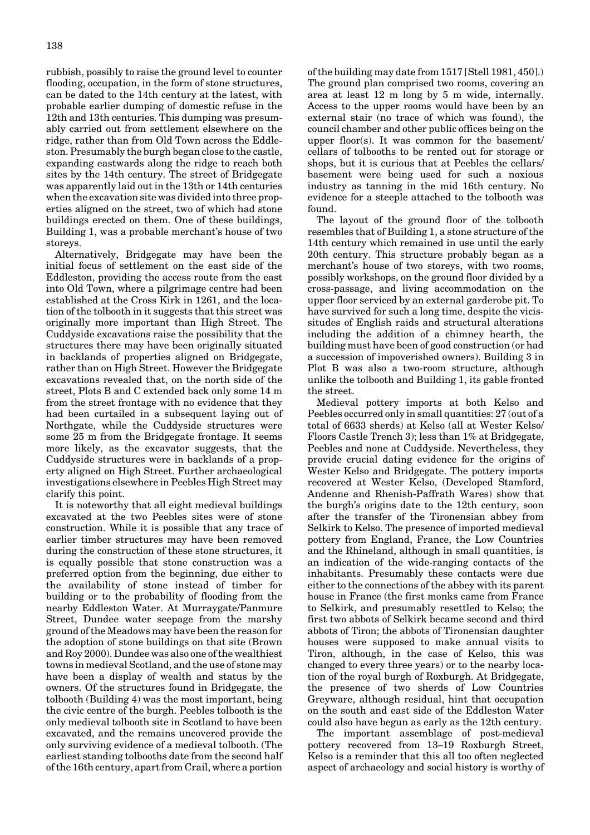rubbish, possibly to raise the ground level to counter flooding, occupation, in the form of stone structures, can be dated to the 14th century at the latest, with probable earlier dumping of domestic refuse in the 12th and 13th centuries. This dumping was presumably carried out from settlement elsewhere on the ridge, rather than from Old Town across the Eddleston. Presumably the burgh began close to the castle, expanding eastwards along the ridge to reach both sites by the 14th century. The street of Bridgegate was apparently laid out in the 13th or 14th centuries when the excavation site was divided into three properties aligned on the street, two of which had stone buildings erected on them. One of these buildings, Building 1, was a probable merchant's house of two storeys.

Alternatively, Bridgegate may have been the initial focus of settlement on the east side of the Eddleston, providing the access route from the east into Old Town, where a pilgrimage centre had been established at the Cross Kirk in 1261, and the location of the tolbooth in it suggests that this street was originally more important than High Street. The Cuddyside excavations raise the possibility that the structures there may have been originally situated in backlands of properties aligned on Bridgegate, rather than on High Street. However the Bridgegate excavations revealed that, on the north side of the street, Plots B and C extended back only some 14 m from the street frontage with no evidence that they had been curtailed in a subsequent laying out of Northgate, while the Cuddyside structures were some 25 m from the Bridgegate frontage. It seems more likely, as the excavator suggests, that the Cuddyside structures were in backlands of a property aligned on High Street. Further archaeological investigations elsewhere in Peebles High Street may clarify this point.

It is noteworthy that all eight medieval buildings excavated at the two Peebles sites were of stone construction. While it is possible that any trace of earlier timber structures may have been removed during the construction of these stone structures, it is equally possible that stone construction was a preferred option from the beginning, due either to the availability of stone instead of timber for building or to the probability of flooding from the nearby Eddleston Water. At Murraygate/Panmure Street, Dundee water seepage from the marshy ground of the Meadows may have been the reason for the adoption of stone buildings on that site (Brown and Roy 2000). Dundee was also one of the wealthiest towns in medieval Scotland, and the use of stone may have been a display of wealth and status by the owners. Of the structures found in Bridgegate, the tolbooth (Building 4) was the most important, being the civic centre of the burgh. Peebles tolbooth is the only medieval tolbooth site in Scotland to have been excavated, and the remains uncovered provide the only surviving evidence of a medieval tolbooth. (The earliest standing tolbooths date from the second half of the 16th century, apart from Crail, where a portion

of the building may date from 1517 [Stell 1981, 450].) The ground plan comprised two rooms, covering an area at least 12 m long by 5 m wide, internally. Access to the upper rooms would have been by an external stair (no trace of which was found), the council chamber and other public offices being on the upper floor(s). It was common for the basement/ cellars of tolbooths to be rented out for storage or shops, but it is curious that at Peebles the cellars/ basement were being used for such a noxious industry as tanning in the mid 16th century. No evidence for a steeple attached to the tolbooth was found.

The layout of the ground floor of the tolbooth resembles that of Building 1, a stone structure of the 14th century which remained in use until the early 20th century. This structure probably began as a merchant's house of two storeys, with two rooms, possibly workshops, on the ground floor divided by a cross-passage, and living accommodation on the upper floor serviced by an external garderobe pit. To have survived for such a long time, despite the vicissitudes of English raids and structural alterations including the addition of a chimney hearth, the building must have been of good construction (or had a succession of impoverished owners). Building 3 in Plot B was also a two-room structure, although unlike the tolbooth and Building 1, its gable fronted the street.

Medieval pottery imports at both Kelso and Peebles occurred only in small quantities: 27 (out of a total of 6633 sherds) at Kelso (all at Wester Kelso/ Floors Castle Trench 3); less than 1% at Bridgegate, Peebles and none at Cuddyside. Nevertheless, they provide crucial dating evidence for the origins of Wester Kelso and Bridgegate. The pottery imports recovered at Wester Kelso, (Developed Stamford, Andenne and Rhenish-Paffrath Wares) show that the burgh's origins date to the 12th century, soon after the transfer of the Tironensian abbey from Selkirk to Kelso. The presence of imported medieval pottery from England, France, the Low Countries and the Rhineland, although in small quantities, is an indication of the wide-ranging contacts of the inhabitants. Presumably these contacts were due either to the connections of the abbey with its parent house in France (the first monks came from France to Selkirk, and presumably resettled to Kelso; the first two abbots of Selkirk became second and third abbots of Tiron; the abbots of Tironensian daughter houses were supposed to make annual visits to Tiron, although, in the case of Kelso, this was changed to every three years) or to the nearby location of the royal burgh of Roxburgh. At Bridgegate, the presence of two sherds of Low Countries Greyware, although residual, hint that occupation on the south and east side of the Eddleston Water could also have begun as early as the 12th century.

The important assemblage of post-medieval pottery recovered from 13–19 Roxburgh Street, Kelso is a reminder that this all too often neglected aspect of archaeology and social history is worthy of